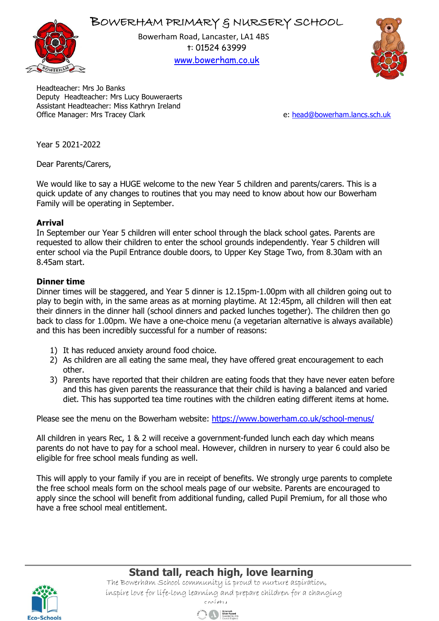



Bowerham Road, Lancaster, LA1 4BS t: 01524 63999 [www.bowerham.co.uk](http://www.bowerham.lancs.sch.uk/)



Headteacher: Mrs Jo Banks Deputy Headteacher: Mrs Lucy Bouweraerts Assistant Headteacher: Miss Kathryn Ireland Office Manager: Mrs Tracey Clark e: [head@bowerham.lancs.sch.uk](mailto:head@bowerham.lancs.sch.uk)

Year 5 2021-2022

Dear Parents/Carers,

We would like to say a HUGE welcome to the new Year 5 children and parents/carers. This is a quick update of any changes to routines that you may need to know about how our Bowerham Family will be operating in September.

## **Arrival**

In September our Year 5 children will enter school through the black school gates. Parents are requested to allow their children to enter the school grounds independently. Year 5 children will enter school via the Pupil Entrance double doors, to Upper Key Stage Two, from 8.30am with an 8.45am start.

## **Dinner time**

Dinner times will be staggered, and Year 5 dinner is 12.15pm-1.00pm with all children going out to play to begin with, in the same areas as at morning playtime. At 12:45pm, all children will then eat their dinners in the dinner hall (school dinners and packed lunches together). The children then go back to class for 1.00pm. We have a one-choice menu (a vegetarian alternative is always available) and this has been incredibly successful for a number of reasons:

- 1) It has reduced anxiety around food choice.
- 2) As children are all eating the same meal, they have offered great encouragement to each other.
- 3) Parents have reported that their children are eating foods that they have never eaten before and this has given parents the reassurance that their child is having a balanced and varied diet. This has supported tea time routines with the children eating different items at home.

Please see the menu on the Bowerham website:<https://www.bowerham.co.uk/school-menus/>

All children in years Rec, 1 & 2 will receive a government-funded lunch each day which means parents do not have to pay for a school meal. However, children in nursery to year 6 could also be eligible for free school meals funding as well.

This will apply to your family if you are in receipt of benefits. We strongly urge parents to complete the free school meals form on the school meals page of our website. Parents are encouraged to apply since the school will benefit from additional funding, called Pupil Premium, for all those who have a free school meal entitlement.



 **Stand tall, reach high, love learning** The Bowerham School community is proud to nurture aspiration, inspire love for life-long learning and prepare children for a changing

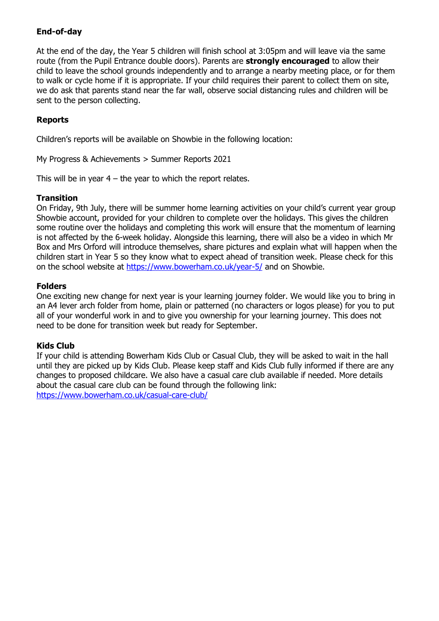# **End-of-day**

At the end of the day, the Year 5 children will finish school at 3:05pm and will leave via the same route (from the Pupil Entrance double doors). Parents are **strongly encouraged** to allow their child to leave the school grounds independently and to arrange a nearby meeting place, or for them to walk or cycle home if it is appropriate. If your child requires their parent to collect them on site, we do ask that parents stand near the far wall, observe social distancing rules and children will be sent to the person collecting.

## **Reports**

Children's reports will be available on Showbie in the following location:

My Progress & Achievements > Summer Reports 2021

This will be in year  $4$  – the year to which the report relates.

### **Transition**

On Friday, 9th July, there will be summer home learning activities on your child's current year group Showbie account, provided for your children to complete over the holidays. This gives the children some routine over the holidays and completing this work will ensure that the momentum of learning is not affected by the 6-week holiday. Alongside this learning, there will also be a video in which Mr Box and Mrs Orford will introduce themselves, share pictures and explain what will happen when the children start in Year 5 so they know what to expect ahead of transition week. Please check for this on the school website at<https://www.bowerham.co.uk/year-5/> and on Showbie.

### **Folders**

One exciting new change for next year is your learning journey folder. We would like you to bring in an A4 lever arch folder from home, plain or patterned (no characters or logos please) for you to put all of your wonderful work in and to give you ownership for your learning journey. This does not need to be done for transition week but ready for September.

## **Kids Club**

If your child is attending Bowerham Kids Club or Casual Club, they will be asked to wait in the hall until they are picked up by Kids Club. Please keep staff and Kids Club fully informed if there are any changes to proposed childcare. We also have a casual care club available if needed. More details about the casual care club can be found through the following link: <https://www.bowerham.co.uk/casual-care-club/>